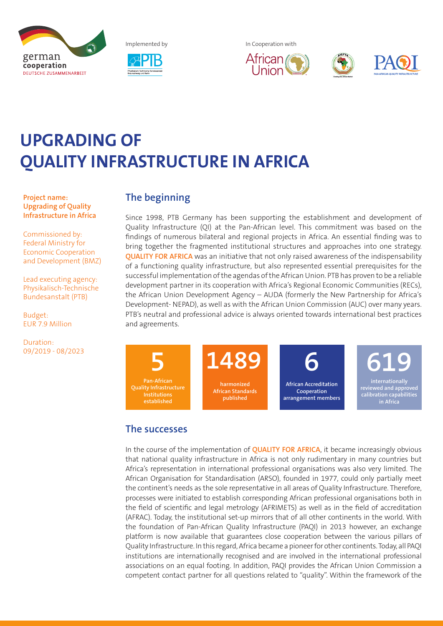



Implemented by **In Cooperation with** 







# **UPGRADING OF QUALITY INFRASTRUCTURE IN AFRICA**

**Project name: Upgrading of Quality Infrastructure in Africa**

Commissioned by: Federal Ministry for Economic Cooperation and Development (BMZ)

Lead executing agency: Physikalisch-Technische Bundesanstalt (PTB)

Budget: EUR 7.9 Million

Duration: 09/2019 - 08/2023

## **The beginning**

Since 1998, PTB Germany has been supporting the establishment and development of Quality Infrastructure (QI) at the Pan-African level. This commitment was based on the findings of numerous bilateral and regional projects in Africa. An essential finding was to bring together the fragmented institutional structures and approaches into one strategy. **QUALITY FOR AFRICA** was an initiative that not only raised awareness of the indispensability of a functioning quality infrastructure, but also represented essential prerequisites for the successful implementation of the agendas of the African Union. PTB has proven to be a reliable development partner in its cooperation with Africa's Regional Economic Communities (RECs), the African Union Development Agency – AUDA (formerly the New Partnership for Africa's Development- NEPAD), as well as with the African Union Commission (AUC) over many years. PTB's neutral and professional advice is always oriented towards international best practices and agreements.

**Quality Infrastructure harmonized African Standards 5 1489 6**

**published**

**African Accreditation Cooperation arrangement members**

**internationally reviewed and approved 619**

**calibration capabilities in Africa**

**The successes**

**Institutions** 

In the course of the implementation of **QUALITY FOR AFRICA**, it became increasingly obvious that national quality infrastructure in Africa is not only rudimentary in many countries but Africa's representation in international professional organisations was also very limited. The African Organisation for Standardisation (ARSO), founded in 1977, could only partially meet the continent's needs as the sole representative in all areas of Quality Infrastructure. Therefore, processes were initiated to establish corresponding African professional organisations both in the field of scientific and legal metrology (AFRIMETS) as well as in the field of accreditation (AFRAC). Today, the institutional set-up mirrors that of all other continents in the world. With the foundation of Pan-African Quality Infrastructure (PAQI) in 2013 however, an exchange platform is now available that guarantees close cooperation between the various pillars of Quality Infrastructure. In this regard, Africa became a pioneer for other continents. Today, all PAQI institutions are internationally recognised and are involved in the international professional associations on an equal footing. In addition, PAQI provides the African Union Commission a competent contact partner for all questions related to "quality". Within the framework of the